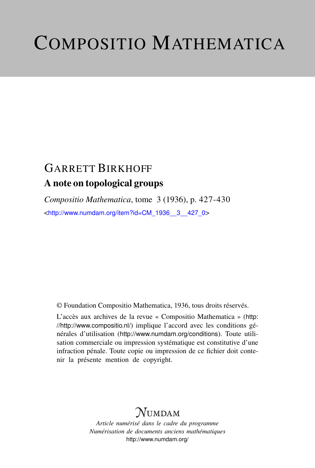# COMPOSITIO MATHEMATICA

## GARRETT BIRKHOFF A note on topological groups

*Compositio Mathematica*, tome 3 (1936), p. 427-430 <[http://www.numdam.org/item?id=CM\\_1936\\_\\_3\\_\\_427\\_0](http://www.numdam.org/item?id=CM_1936__3__427_0)>

© Foundation Compositio Mathematica, 1936, tous droits réservés.

L'accès aux archives de la revue « Compositio Mathematica » ([http:](http://http://www.compositio.nl/) [//http://www.compositio.nl/](http://http://www.compositio.nl/)) implique l'accord avec les conditions générales d'utilisation (<http://www.numdam.org/conditions>). Toute utilisation commerciale ou impression systématique est constitutive d'une infraction pénale. Toute copie ou impression de ce fichier doit contenir la présente mention de copyright.

### $\mathcal{N}$ umdam

*Article numérisé dans le cadre du programme Numérisation de documents anciens mathématiques* <http://www.numdam.org/>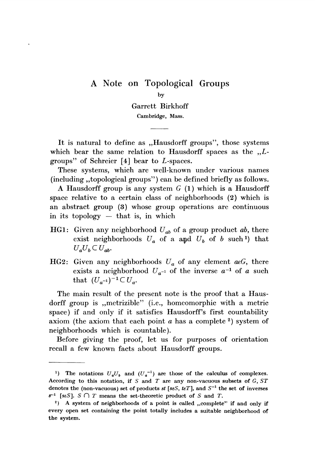#### A Note on Topological Groups

Garrett Birkhoff

Cambridge, Mass.

It is natural to define as "Hausdorff groups", those systems which bear the same relation to Hausdorff spaces as the  $L$ groups" of Schreier [4] bear to L-spaces.

These systems, which are well-known under various names (including ,,topological groups") can be defined briefly as follows.

A Hausdorff group is any system  $G(1)$  which is a Hausdorff space relative to a certain class of neighborhoods (2) which is an abstract group (3) whose group operations are continuous in its topology  $-$  that is, in which

- HG1: Given any neighborhood  $U_{ab}$  of a group product ab, there exist neighborhoods  $U_a$  of a and  $U_b$  of b such 1) that  $U_a U_b \subset U_{ab}$
- HG2: Given any neighborhoods  $U_a$  of any element  $acG$ , there exists a neighborhood  $U_{a^{-1}}$  of the inverse  $a^{-1}$  of a such that  $(U_{a^{-1}})^{-1} \subset U_{a}$ .

The main result of the present note is the proof that a Hausdorff group is , metrizible" (i.e., homeomorphic with a metric space) if and only if it satisfies Hausdorff's first countability axiom (the axiom that each point  $a$  has a complete  $2$ ) system of neighborhoods which is countable).

Before giving the proof, let us for purposes of orientation recall a few known facts about Hausdorff groups.

by

<sup>&</sup>lt;sup>1</sup>) The notations  $U_a U_b$  and  $(U_a^{-1})$  are those of the calculus of complexes. According to this notation, if  $S$  and  $T$  are any non-vacuous subsets of  $G$ ,  $ST$ denotes the (non-vacuous) set of products st [seS, teT], and  $S^{-1}$  the set of inverses  $s^{-1}$  [seS]. S  $\cap$  T means the set-theoretic product of S and T.

<sup>&</sup>lt;sup>2</sup>) A system of neighborhoods of a point is called ,,complete" if and only if every open set containing the point totally includes a suitable neighborhood of the system.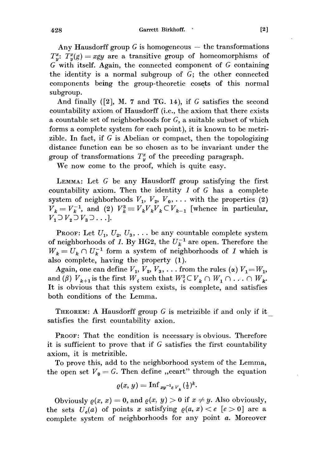Garrett Birkhoff.

Any Hausdorff group  $G$  is homogeneous  $-$  the transformations  $T_x^x$ :  $T_y^x(g) = xgy$  are a transitive group of homeomorphisms of G with itself. Again, the connected component of G containing the identity is a normal subgroup of  $G$ ; the other connected components being the group-theoretic cosets of this normal subgroup.

And finally ([2], M. 7 and TG. 14), if G satisfies the second countability axiom of Hausdorff (i.e., the axiom that there exists a countable set of neighborhoods for G, a suitable subset of which forms a complete system for each point), it is known to be metrizible. In fact, if G is Abelian or compact, then the topologizing distance function can be so chosen as to be invariant under the group of transformations  $T_u^x$  of the preceding paragraph.

We now come to the proof, which is quite easy.

LEMMA: Let G be any Hausdorff group satisfying the first countability axiom. Then the identity  $1$  of  $G$  has a complete system of neighborhoods  $V_1$ ,  $V_2$ ,  $V_0$ , ... with the properties (2)  $V_k = V_k^{-1}$ , and (2)  $V_k^3 \equiv V_k V_k V_k \subset V_{k-1}$  [whence in particular,  $V_1 \supset V_2 \supset V_3 \supset \ldots$ ].

**PROOF:** Let  $U_1, U_2, U_3, \ldots$  be any countable complete system of neighborhoods of 1. By HG2, the  $U_k^{-1}$  are open. Therefore the  $W_k = U_k \cap U_k^{-1}$  form a system of neighborhoods of 1 which is also complete, having the property (1).

Again, one can define  $V_1, V_2, V_3, \ldots$  from the rules ( $\alpha$ )  $V_1 = W_1$ , and ( $\beta$ )  $V_{k+1}$  is the first  $W_i$  such that  $W_i^3 \subset V_k \cap W_1 \cap \ldots \cap W_k$ . It is obvious that this system exists, is complete, and satisfies both conditions of the Lemma.

THEOREM: A Hausdorff group  $G$  is metrizible if and only if it satisfies the first countability axion.

PROOF: That the condition is necessary is obvious. Therefore it is sufficient to prove that if G satisfies the first countability axiom, it is metrizible.

To prove this, add to the neighborhood system of the Lemma, the open set  $V_0 = G$ . Then define ,,ecart" through the equation

$$
\varrho(x, y) = \operatorname{Inf}_{xy^{-1} \varepsilon V_{\mathfrak{p}}}(\frac{1}{2})^k.
$$

Obviously  $\rho(x, x) = 0$ , and  $\rho(x, y) > 0$  if  $x \neq y$ . Also obviously, the sets  $U_e(a)$  of points x satisfying  $\rho(a, x) < e$  [e > 0] are a complete system of neighborhoods for any point a. Moreover

428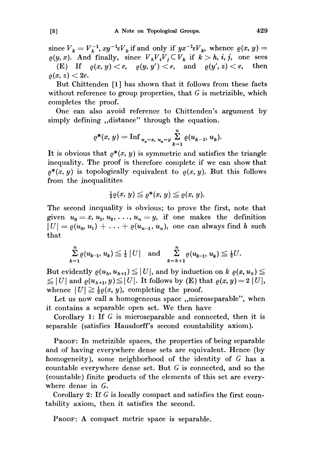since  $V_k = V_k^{-1}$ ,  $xy^{-1} \varepsilon V_k$  if and only if  $yx^{-1} \varepsilon V_k$ , whence  $\rho(x, y) =$  $e(y, x)$ . And finally, since  $V_h V_i V_j \subset V_k$  if  $k > h, i, j$ , one sees<br>
(E) If  $o(x, y) < e$ ,  $o(y, y') < e$ , and  $o(y', z) < e$ , then (E) If  $\rho(x, y) < e$ ,  $\rho(y, y') < e$ , and  $\rho(y', z) < e$ ,  $\rho(x, z) < 2e$ .

But Chittenden [1] has shown that it follows from these facts without reference to group properties, that  $G$  is metrizible, which completes the proof.

One can also avoid reference to Chittenden's argument by simply defining "distance" through the equation.

$$
\varrho^*(x, y) = \mathrm{Inf}_{u_0 = x, u_n = y} \sum_{k=1}^n \varrho(u_{k-1}, u_k).
$$

It is obvious that  $\rho^*(x, y)$  is symmetric and satisfies the triangle inequality. The proof is therefore complete if we can show that  $\rho^*(x, y)$  is topologically equivalent to  $\rho(x, y)$ . But this follows from the inequalitites

$$
\tfrac{1}{2}\varrho(x,\,y)\leq \varrho^*(x,\,y)\leq \varrho(x,\,y).
$$

The second inequality is obvious; to prove the first, note that given  $u_0 = x, u_1, u_2, \ldots, u_n = y$ , if one makes the definition  $|U| = \varrho(u_0, u_1) + \ldots + \varrho(u_{n-1}, u_n)$ , one can always find h such that

$$
\sum_{k=1}^{n} \varrho(u_{k-1}, u_k) \leq \frac{1}{2} |U| \text{ and } \sum_{k=h+1}^{n} \varrho(u_{k-1}, u_k) \leq \frac{1}{2} U.
$$

But evidently  $\varrho(u_h, u_{h+1}) \leq |U|$ , and by induction on k  $\varrho(x, u_h) \leq$  $\leq |U|$  and  $\varrho(u_{h+1}, y) \leq |U|$ . It follows by (E) that  $\varrho(x, y) = 2|U|$ , whence  $|U| \geq \frac{1}{2}\varrho(x, y)$ , completing the proof.

Let us now call a homogeneous space ,,microseparable", when it contains a separable open set. We then have

Corollary 1: If G is microseparable and connected, then it is separable (satisfies Hausdorff's second countability axiom).

PROOF: In metrizible spaces, the properties of being separable and of having everywhere dense sets are equivalent. Hence. (by homogeneity), some neighborhood of the identity of G has a countable everywhere dense set. But G is connected, and so the (countable) finite products of the elements of this set are everywhere dense in G.

Corollary 2: If G is locally compact and satisfies the first countability axiom, then it satisfies the second.

PROOF: A compact metric space is separable.